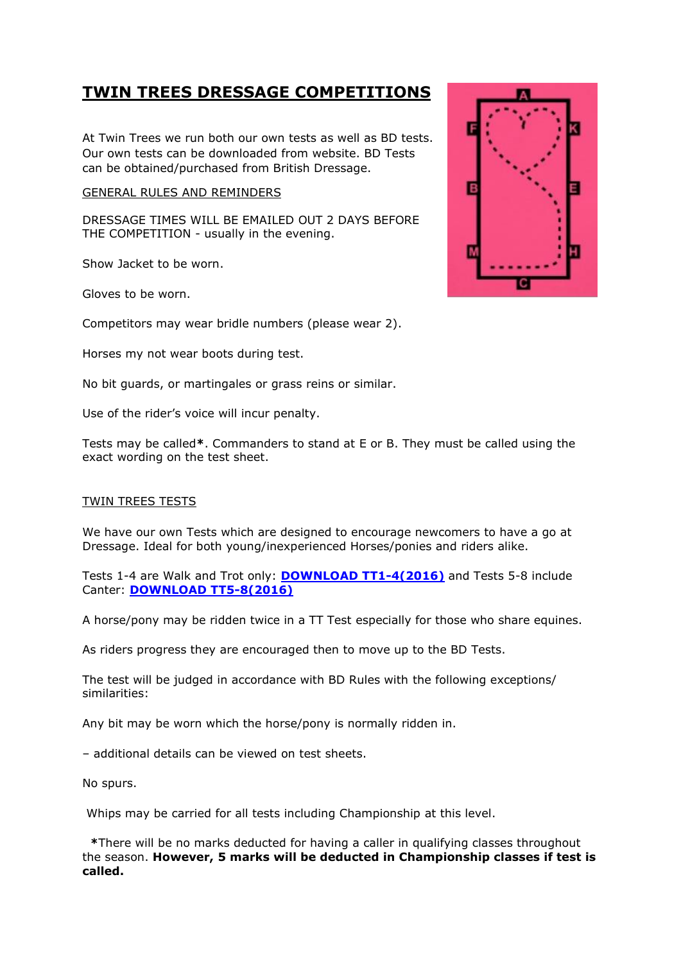## **TWIN TREES DRESSAGE COMPETITIONS**

At Twin Trees we run both our own tests as well as BD tests. Our own tests can be downloaded from website. BD Tests can be obtained/purchased from British Dressage.

## GENERAL RULES AND REMINDERS

DRESSAGE TIMES WILL BE EMAILED OUT 2 DAYS BEFORE THE COMPETITION - usually in the evening.

Show Jacket to be worn.

Gloves to be worn.

Competitors may wear bridle numbers (please wear 2).

Horses my not wear boots during test.

No bit guards, or martingales or grass reins or similar.

Use of the rider's voice will incur penalty.

Tests may be called**\***. Commanders to stand at E or B. They must be called using the exact wording on the test sheet.

## TWIN TREES TESTS

We have our own Tests which are designed to encourage newcomers to have a go at Dressage. Ideal for both young/inexperienced Horses/ponies and riders alike.

Tests 1-4 are Walk and Trot only: **[DOWNLOAD TT1-4\(2016\)](http://twintrees.net/doc/2016tests1-4.pdf)** and Tests 5-8 include Canter: **[DOWNLOAD TT5-8\(2016\)](http://twintrees.net/doc/2016tests5-8.pdf)**

A horse/pony may be ridden twice in a TT Test especially for those who share equines.

As riders progress they are encouraged then to move up to the BD Tests.

The test will be judged in accordance with BD Rules with the following exceptions/ similarities:

Any bit may be worn which the horse/pony is normally ridden in.

– additional details can be viewed on test sheets.

No spurs.

Whips may be carried for all tests including Championship at this level.

 **\***There will be no marks deducted for having a caller in qualifying classes throughout the season. **However, 5 marks will be deducted in Championship classes if test is called.**